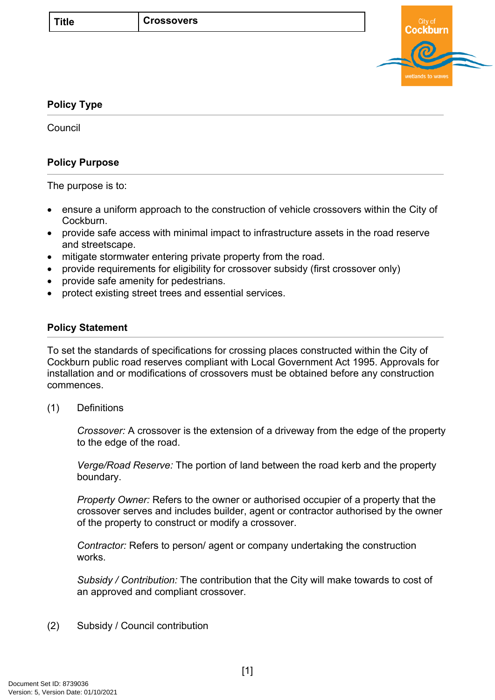

# <span id="page-0-0"></span>**[Policy Type](#page-0-0)**

**Council** 

# **Policy Purpose**

The purpose is to:

- ensure a uniform approach to the construction of vehicle crossovers within the City of Cockburn.
- provide safe access with minimal impact to infrastructure assets in the road reserve and streetscape.
- mitigate stormwater entering private property from the road.
- provide requirements for eligibility for crossover subsidy (first crossover only)
- provide safe amenity for pedestrians.
- protect existing street trees and essential services.

## **[Policy Statement](#page-0-1)**

<span id="page-0-1"></span>To set the standards of specifications for crossing places constructed within the City of Cockburn public road reserves compliant with Local Government Act 1995. Approvals for installation and or modifications of crossovers must be obtained before any construction commences.

(1) Definitions

*Crossover:* A crossover is the extension of a driveway from the edge of the property to the edge of the road.

*Verge/Road Reserve:* The portion of land between the road kerb and the property boundary.

*Property Owner:* Refers to the owner or authorised occupier of a property that the crossover serves and includes builder, agent or contractor authorised by the owner of the property to construct or modify a crossover.

*Contractor:* Refers to person/ agent or company undertaking the construction works.

*Subsidy / Contribution:* The contribution that the City will make towards to cost of an approved and compliant crossover.

(2) Subsidy / Council contribution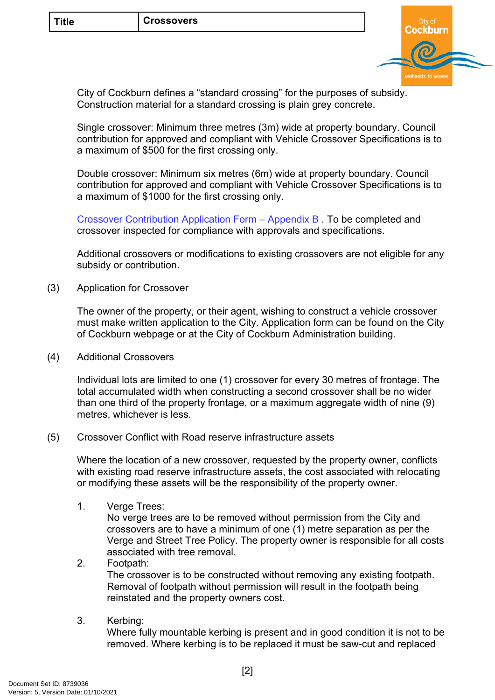

City of Cockburn defines a "standard crossing" for the purposes of subsidy. Construction material for a standard crossing is plain grey concrete.

Single crossover: Minimum three metres (3m) wide at property boundary. Council contribution for approved and compliant with Vehicle Crossover Specifications is to a maximum of \$500 for the first crossing only.

Double crossover: Minimum six metres (6m) wide at property boundary. Council contribution for approved and compliant with Vehicle Crossover Specifications is to a maximum of \$1000 for the first crossing only.

[Crossover Contribution Application Form – Appendix B](https://www.cockburn.wa.gov.au/Building-and-Development/Applications-and-Permits/Crossovers/Crossover-Claim-Form-Appendix-B) . To be completed and crossover inspected for compliance with approvals and specifications.

Additional crossovers or modifications to existing crossovers are not eligible for any subsidy or contribution.

(3) Application for Crossover

The owner of the property, or their agent, wishing to construct a vehicle crossover must make written application to the City. Application form can be found on the City of Cockburn webpage or at the City of Cockburn Administration building.

(4) Additional Crossovers

Individual lots are limited to one (1) crossover for every 30 metres of frontage. The total accumulated width when constructing a second crossover shall be no wider than one third of the property frontage, or a maximum aggregate width of nine (9) metres, whichever is less.

(5) Crossover Conflict with Road reserve infrastructure assets

Where the location of a new crossover, requested by the property owner, conflicts with existing road reserve infrastructure assets, the cost associated with relocating or modifying these assets will be the responsibility of the property owner.

1. Verge Trees:

No verge trees are to be removed without permission from the City and crossovers are to have a minimum of one (1) metre separation as per the Verge and Street Tree Policy. The property owner is responsible for all costs associated with tree removal.

- 2. Footpath: The crossover is to be constructed without removing any existing footpath. Removal of footpath without permission will result in the footpath being reinstated and the property owners cost.
- 3. Kerbing:

Where fully mountable kerbing is present and in good condition it is not to be removed. Where kerbing is to be replaced it must be saw-cut and replaced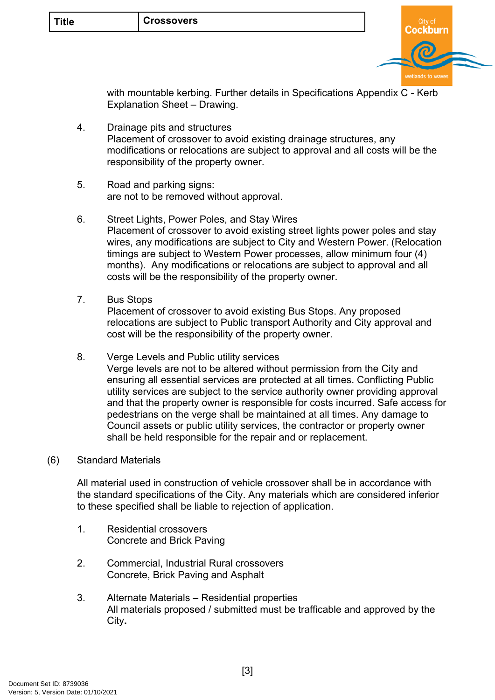

with mountable kerbing. Further details in Specifications Appendix C - Kerb Explanation Sheet – Drawing.

- 4. Drainage pits and structures Placement of crossover to avoid existing drainage structures, any modifications or relocations are subject to approval and all costs will be the responsibility of the property owner.
- 5. Road and parking signs: are not to be removed without approval.
- 6. Street Lights, Power Poles, and Stay Wires Placement of crossover to avoid existing street lights power poles and stay wires, any modifications are subject to City and Western Power. (Relocation timings are subject to Western Power processes, allow minimum four (4) months). Any modifications or relocations are subject to approval and all costs will be the responsibility of the property owner.
- 7. Bus Stops

Placement of crossover to avoid existing Bus Stops. Any proposed relocations are subject to Public transport Authority and City approval and cost will be the responsibility of the property owner.

8. Verge Levels and Public utility services

Verge levels are not to be altered without permission from the City and ensuring all essential services are protected at all times. Conflicting Public utility services are subject to the service authority owner providing approval and that the property owner is responsible for costs incurred. Safe access for pedestrians on the verge shall be maintained at all times. Any damage to Council assets or public utility services, the contractor or property owner shall be held responsible for the repair and or replacement.

## (6) Standard Materials

All material used in construction of vehicle crossover shall be in accordance with the standard specifications of the City. Any materials which are considered inferior to these specified shall be liable to rejection of application.

- 1. Residential crossovers Concrete and Brick Paving
- 2. Commercial, Industrial Rural crossovers Concrete, Brick Paving and Asphalt
- 3. Alternate Materials Residential properties All materials proposed / submitted must be trafficable and approved by the City**.**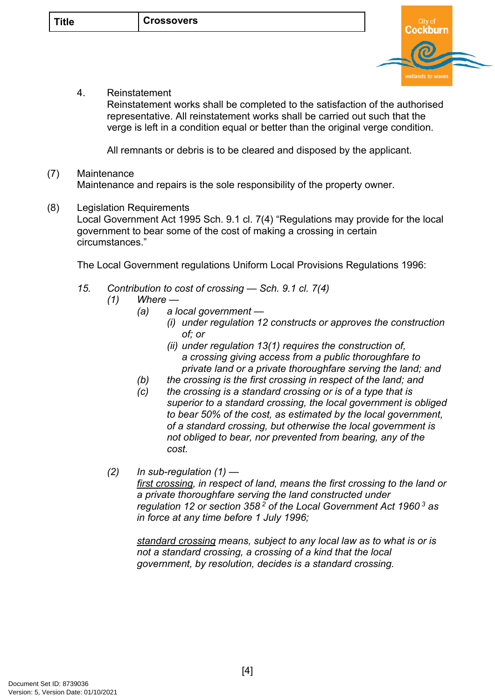

4. Reinstatement

Reinstatement works shall be completed to the satisfaction of the authorised representative. All reinstatement works shall be carried out such that the verge is left in a condition equal or better than the original verge condition.

All remnants or debris is to be cleared and disposed by the applicant.

### (7) Maintenance Maintenance and repairs is the sole responsibility of the property owner.

(8) Legislation Requirements Local Government Act 1995 Sch. 9.1 cl. 7(4) "Regulations may provide for the local government to bear some of the cost of making a crossing in certain circumstances."

The Local Government regulations Uniform Local Provisions Regulations 1996:

- *15. Contribution to cost of crossing Sch. 9.1 cl. 7(4)* 
	- *(1) Where* 
		- *(a) a local government* 
			- *(i) under regulation 12 constructs or approves the construction of; or*
			- *(ii) under regulation 13(1) requires the construction of, a crossing giving access from a public thoroughfare to private land or a private thoroughfare serving the land; and*
		- *(b) the crossing is the first crossing in respect of the land; and*
		- *(c) the crossing is a standard crossing or is of a type that is superior to a standard crossing, the local government is obliged to bear 50% of the cost, as estimated by the local government, of a standard crossing, but otherwise the local government is not obliged to bear, nor prevented from bearing, any of the cost.*
	- *(2) In sub-regulation (1) first crossing, in respect of land, means the first crossing to the land or a private thoroughfare serving the land constructed under regulation 12 or section 358<sup>2</sup> of the Local Government Act 1960<sup>3</sup> as in force at any time before 1 July 1996;*

*standard crossing means, subject to any local law as to what is or is not a standard crossing, a crossing of a kind that the local government, by resolution, decides is a standard crossing.*